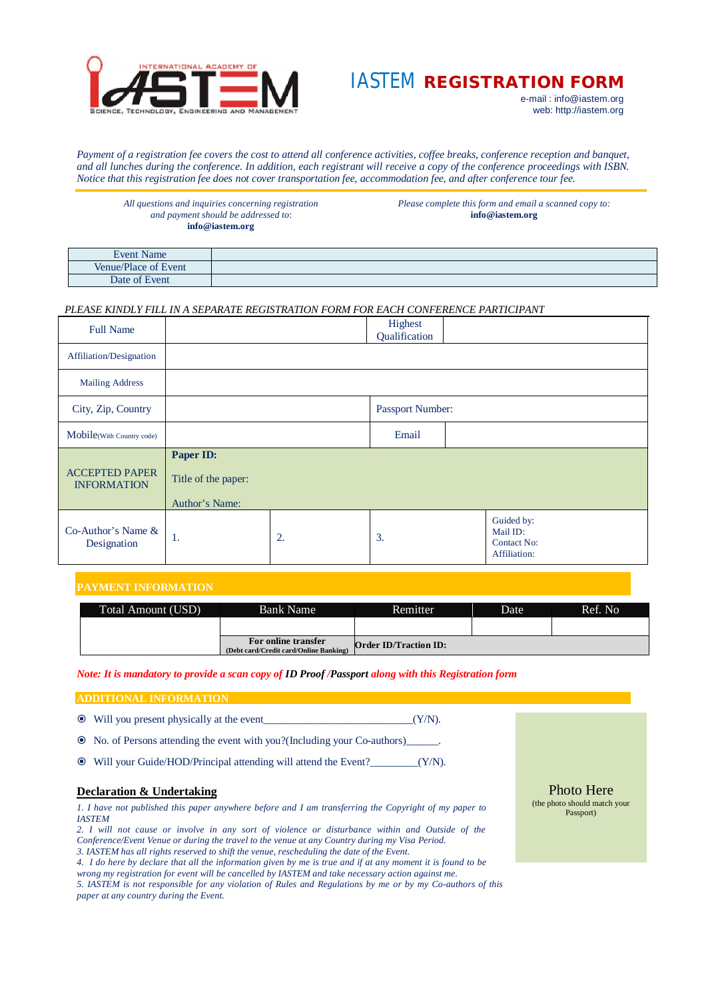

# IASTEM **REGISTRATION FORM**

e-mail : [info@iastem.org](mailto:info@iastem.org) web:<http://iastem.org>

*Payment of a registration fee covers the cost to attend all conference activities, coffee breaks, conference reception and banquet, and all lunches during the conference. In addition, each registrant will receive a copy of the conference proceedings with ISBN. Notice that this registration fee does not cover transportation fee, accommodation fee, and after conference tour fee.*

*All questions and inquiries concerning registration and payment should be addressed to*: **[info@iastem.org](mailto:info@iastem.org)**

*Please complete this form and email a scanned copy to:* **[info@iastem.org](mailto:info@iastem.org)**

| <b>Event Name</b>                        |  |
|------------------------------------------|--|
| $\sim$ $\sim$<br>Venue/Place<br>of Event |  |
| Date of Event                            |  |

# *PLEASE KINDLY FILL IN A SEPARATE REGISTRATION FORM FOR EACH CONFERENCE PARTICIPANT*

| <b>Full Name</b>                            |                                                    |       | Highest<br>Qualification |  |                                                       |  |
|---------------------------------------------|----------------------------------------------------|-------|--------------------------|--|-------------------------------------------------------|--|
| Affiliation/Designation                     |                                                    |       |                          |  |                                                       |  |
| Mailing Address                             |                                                    |       |                          |  |                                                       |  |
| City, Zip, Country                          |                                                    |       | Passport Number:         |  |                                                       |  |
| Mobile(With Country code)                   |                                                    | Email |                          |  |                                                       |  |
| <b>ACCEPTED PAPER</b><br><b>INFORMATION</b> | Paper ID:<br>Title of the paper:<br>Author's Name: |       |                          |  |                                                       |  |
| $Co-Author's Name &$<br>Designation         | -1.                                                | 2.    | 3.                       |  | Guided by:<br>Mail ID:<br>Contact No:<br>Affiliation: |  |

# **PAYMENT INFORMATION**

| Total Amount (USD) | <b>Bank Name</b>                                              | <b>Remitter</b>              | Date | Ref. No. |
|--------------------|---------------------------------------------------------------|------------------------------|------|----------|
|                    |                                                               |                              |      |          |
|                    | For online transfer<br>(Debt card/Credit card/Online Banking) | <b>Order ID/Traction ID:</b> |      |          |

*Note: It is mandatory to provide a scan copy of ID Proof /Passport along with this Registration form*

## **ADDITIONAL INFORMATION**

- Will you present physically at the event\_\_\_\_\_\_\_\_\_\_\_\_\_\_\_\_\_\_\_\_\_\_\_\_\_\_\_\_(Y/N).
- No. of Persons attending the event with you?(Including your Co-authors)\_\_\_\_\_\_.
- Will your Guide/HOD/Principal attending will attend the Event?\_\_\_\_\_\_\_\_\_(Y/N).

# **Declaration & Undertaking**

*1. I have not published this paper anywhere before and I am transferring the Copyright of my paper to IASTEM*

*2. I will not cause or involve in any sort of violence or disturbance within and Outside of the Conference/Event Venue or during the travel to the venue at any Country during my Visa Period. 3. IASTEM has all rights reserved to shift the venue, rescheduling the date of the Event.*

*4. I do here by declare that all the information given by me is true and if at any moment it is found to be wrong my registration for event will be cancelled by IASTEM and take necessary action against me.* 

*5. IASTEM is not responsible for any violation of Rules and Regulations by me or by my Co-authors of this paper at any country during the Event.*

Photo Here (the photo should match your Passport)